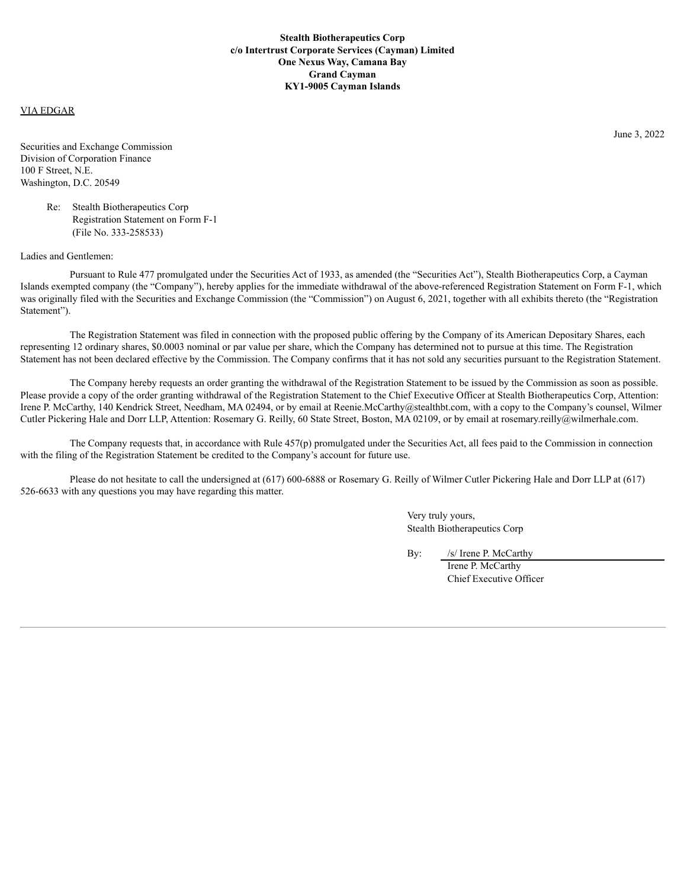## VIA EDGAR

Securities and Exchange Commission Division of Corporation Finance 100 F Street, N.E. Washington, D.C. 20549

> Re: Stealth Biotherapeutics Corp Registration Statement on Form F-1 (File No. 333-258533)

## Ladies and Gentlemen:

Pursuant to Rule 477 promulgated under the Securities Act of 1933, as amended (the "Securities Act"), Stealth Biotherapeutics Corp, a Cayman Islands exempted company (the "Company"), hereby applies for the immediate withdrawal of the above-referenced Registration Statement on Form F-1, which was originally filed with the Securities and Exchange Commission (the "Commission") on August 6, 2021, together with all exhibits thereto (the "Registration") Statement").

The Registration Statement was filed in connection with the proposed public offering by the Company of its American Depositary Shares, each representing 12 ordinary shares, \$0.0003 nominal or par value per share, which the Company has determined not to pursue at this time. The Registration Statement has not been declared effective by the Commission. The Company confirms that it has not sold any securities pursuant to the Registration Statement.

The Company hereby requests an order granting the withdrawal of the Registration Statement to be issued by the Commission as soon as possible. Please provide a copy of the order granting withdrawal of the Registration Statement to the Chief Executive Officer at Stealth Biotherapeutics Corp, Attention: Irene P. McCarthy, 140 Kendrick Street, Needham, MA 02494, or by email at Reenie.McCarthy@stealthbt.com, with a copy to the Company's counsel, Wilmer Cutler Pickering Hale and Dorr LLP, Attention: Rosemary G. Reilly, 60 State Street, Boston, MA 02109, or by email at rosemary.reilly@wilmerhale.com.

The Company requests that, in accordance with Rule 457(p) promulgated under the Securities Act, all fees paid to the Commission in connection with the filing of the Registration Statement be credited to the Company's account for future use.

Please do not hesitate to call the undersigned at (617) 600-6888 or Rosemary G. Reilly of Wilmer Cutler Pickering Hale and Dorr LLP at (617) 526-6633 with any questions you may have regarding this matter.

> Very truly yours, Stealth Biotherapeutics Corp

By: /s/ Irene P. McCarthy

Irene P. McCarthy Chief Executive Officer June 3, 2022